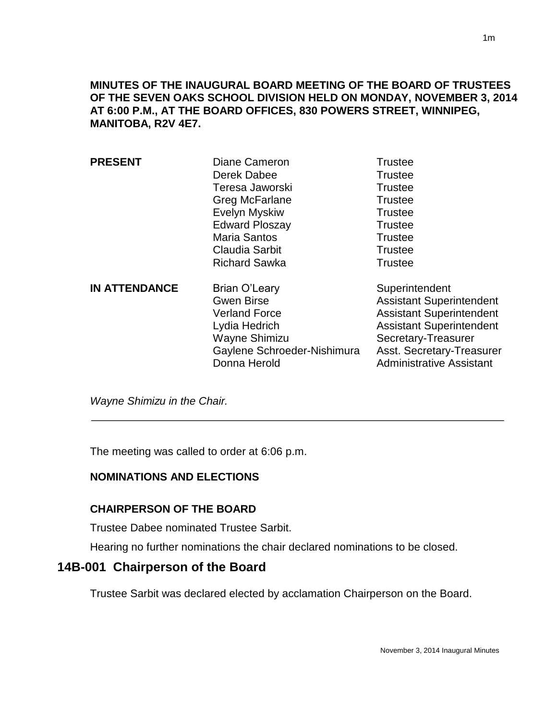**MINUTES OF THE INAUGURAL BOARD MEETING OF THE BOARD OF TRUSTEES OF THE SEVEN OAKS SCHOOL DIVISION HELD ON MONDAY, NOVEMBER 3, 2014 AT 6:00 P.M., AT THE BOARD OFFICES, 830 POWERS STREET, WINNIPEG, MANITOBA, R2V 4E7.**

| <b>PRESENT</b>       | Diane Cameron<br>Derek Dabee<br>Teresa Jaworski<br>Greg McFarlane<br>Evelyn Myskiw<br><b>Edward Ploszay</b><br><b>Maria Santos</b><br>Claudia Sarbit<br><b>Richard Sawka</b> | <b>Trustee</b><br><b>Trustee</b><br><b>Trustee</b><br><b>Trustee</b><br><b>Trustee</b><br><b>Trustee</b><br><b>Trustee</b><br><b>Trustee</b><br><b>Trustee</b>                                                 |
|----------------------|------------------------------------------------------------------------------------------------------------------------------------------------------------------------------|----------------------------------------------------------------------------------------------------------------------------------------------------------------------------------------------------------------|
| <b>IN ATTENDANCE</b> | Brian O'Leary<br><b>Gwen Birse</b><br><b>Verland Force</b><br>Lydia Hedrich<br>Wayne Shimizu<br>Gaylene Schroeder-Nishimura<br>Donna Herold                                  | Superintendent<br><b>Assistant Superintendent</b><br><b>Assistant Superintendent</b><br><b>Assistant Superintendent</b><br>Secretary-Treasurer<br>Asst. Secretary-Treasurer<br><b>Administrative Assistant</b> |

*Wayne Shimizu in the Chair.* 

**.** 

The meeting was called to order at 6:06 p.m.

## **NOMINATIONS AND ELECTIONS**

## **CHAIRPERSON OF THE BOARD**

Trustee Dabee nominated Trustee Sarbit.

Hearing no further nominations the chair declared nominations to be closed.

# **14B-001 Chairperson of the Board**

Trustee Sarbit was declared elected by acclamation Chairperson on the Board.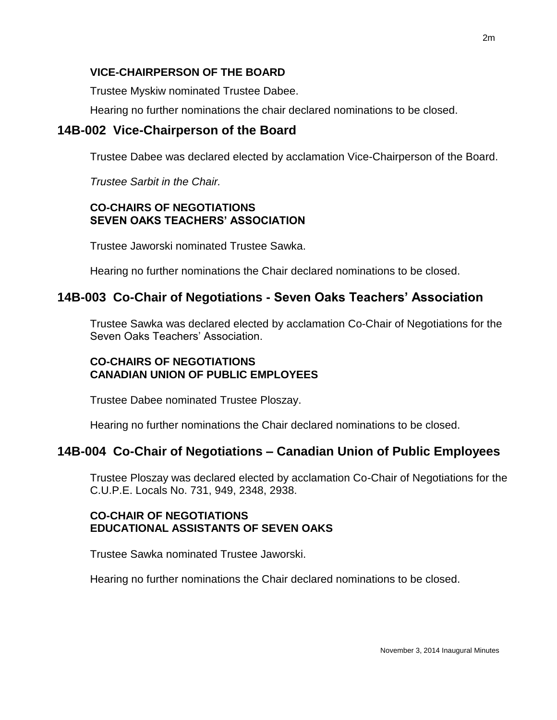## **VICE-CHAIRPERSON OF THE BOARD**

Trustee Myskiw nominated Trustee Dabee.

Hearing no further nominations the chair declared nominations to be closed.

# **14B-002 Vice-Chairperson of the Board**

Trustee Dabee was declared elected by acclamation Vice-Chairperson of the Board.

*Trustee Sarbit in the Chair.*

## **CO-CHAIRS OF NEGOTIATIONS SEVEN OAKS TEACHERS' ASSOCIATION**

Trustee Jaworski nominated Trustee Sawka.

Hearing no further nominations the Chair declared nominations to be closed.

# **14B-003 Co-Chair of Negotiations - Seven Oaks Teachers' Association**

Trustee Sawka was declared elected by acclamation Co-Chair of Negotiations for the Seven Oaks Teachers' Association.

# **CO-CHAIRS OF NEGOTIATIONS CANADIAN UNION OF PUBLIC EMPLOYEES**

Trustee Dabee nominated Trustee Ploszay.

Hearing no further nominations the Chair declared nominations to be closed.

# **14B-004 Co-Chair of Negotiations – Canadian Union of Public Employees**

Trustee Ploszay was declared elected by acclamation Co-Chair of Negotiations for the C.U.P.E. Locals No. 731, 949, 2348, 2938.

# **CO-CHAIR OF NEGOTIATIONS EDUCATIONAL ASSISTANTS OF SEVEN OAKS**

Trustee Sawka nominated Trustee Jaworski.

Hearing no further nominations the Chair declared nominations to be closed.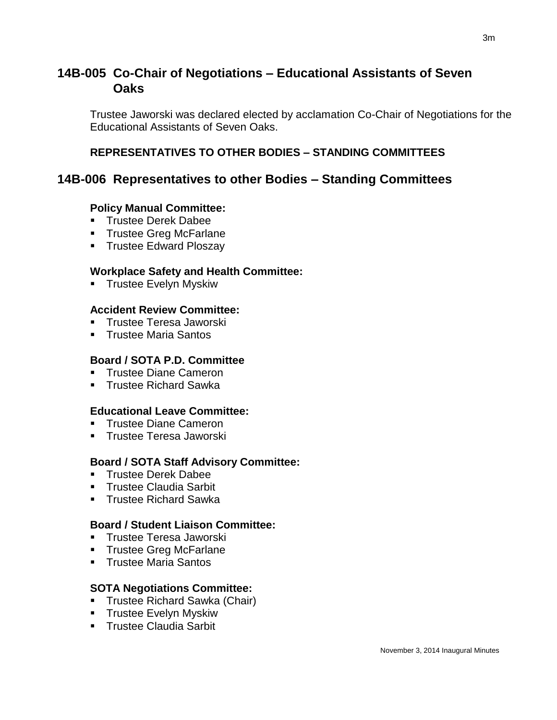# **14B-005 Co-Chair of Negotiations – Educational Assistants of Seven Oaks**

Trustee Jaworski was declared elected by acclamation Co-Chair of Negotiations for the Educational Assistants of Seven Oaks.

## **REPRESENTATIVES TO OTHER BODIES – STANDING COMMITTEES**

# **14B-006 Representatives to other Bodies – Standing Committees**

#### **Policy Manual Committee:**

- **Trustee Derek Dabee**
- **Trustee Greg McFarlane**
- **Trustee Edward Ploszay**

#### **Workplace Safety and Health Committee:**

**Trustee Evelyn Myskiw** 

#### **Accident Review Committee:**

- **Trustee Teresa Jaworski**
- Trustee Maria Santos

## **Board / SOTA P.D. Committee**

- Trustee Diane Cameron
- **Trustee Richard Sawka**

## **Educational Leave Committee:**

- Trustee Diane Cameron
- **Trustee Teresa Jaworski**

## **Board / SOTA Staff Advisory Committee:**

- **Trustee Derek Dabee**
- **Trustee Claudia Sarbit**
- **Trustee Richard Sawka**

#### **Board / Student Liaison Committee:**

- **Trustee Teresa Jaworski**
- **Trustee Greg McFarlane**
- **Trustee Maria Santos**

## **SOTA Negotiations Committee:**

- **Trustee Richard Sawka (Chair)**
- **Trustee Evelyn Myskiw**
- **Trustee Claudia Sarbit**